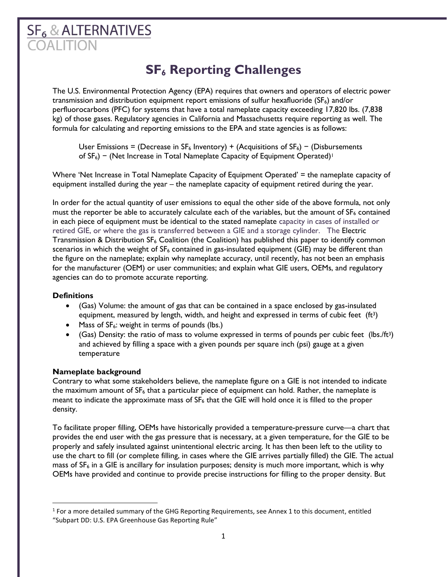# $SF<sub>6</sub>$ & ALTERNATIVES **DALITION**

# **SF<sup>6</sup> Reporting Challenges**

The U.S. Environmental Protection Agency (EPA) requires that owners and operators of electric power transmission and distribution equipment report emissions of sulfur hexafluoride  $(SF_6)$  and/or perfluorocarbons (PFC) for systems that have a total nameplate capacity exceeding 17,820 lbs. (7,838 kg) of those gases. Regulatory agencies in California and Massachusetts require reporting as well. The formula for calculating and reporting emissions to the EPA and state agencies is as follows:

User Emissions = (Decrease in  $SF_6$  Inventory) + (Acquisitions of  $SF_6$ ) – (Disbursements of SF<sub>6</sub>) – (Net Increase in Total Nameplate Capacity of Equipment Operated)<sup>†</sup>

Where 'Net Increase in Total Nameplate Capacity of Equipment Operated' = the nameplate capacity of equipment installed during the year – the nameplate capacity of equipment retired during the year.

In order for the actual quantity of user emissions to equal the other side of the above formula, not only must the reporter be able to accurately calculate each of the variables, but the amount of  $SF_6$  contained in each piece of equipment must be identical to the stated nameplate capacity in cases of installed or retired GIE, or where the gas is transferred between a GIE and a storage cylinder. The Electric Transmission & Distribution  $SF_6$  Coalition (the Coalition) has published this paper to identify common scenarios in which the weight of  $SF_6$  contained in gas-insulated equipment (GIE) may be different than the figure on the nameplate; explain why nameplate accuracy, until recently, has not been an emphasis for the manufacturer (OEM) or user communities; and explain what GIE users, OEMs, and regulatory agencies can do to promote accurate reporting.

# **Definitions**

- (Gas) Volume: the amount of gas that can be contained in a space enclosed by gas-insulated equipment, measured by length, width, and height and expressed in terms of cubic feet  $(ft<sup>3</sup>)$
- Mass of  $SF_6$ : weight in terms of pounds (lbs.)
- (Gas) Density: the ratio of mass to volume expressed in terms of pounds per cubic feet (lbs./ft<sup>3</sup>) and achieved by filling a space with a given pounds per square inch (psi) gauge at a given temperature

# **Nameplate background**

Contrary to what some stakeholders believe, the nameplate figure on a GIE is not intended to indicate the maximum amount of  $SF_6$  that a particular piece of equipment can hold. Rather, the nameplate is meant to indicate the approximate mass of  $SF_6$  that the GIE will hold once it is filled to the proper density.

To facilitate proper filling, OEMs have historically provided a temperature-pressure curve—a chart that provides the end user with the gas pressure that is necessary, at a given temperature, for the GIE to be properly and safely insulated against unintentional electric arcing. It has then been left to the utility to use the chart to fill (or complete filling, in cases where the GIE arrives partially filled) the GIE. The actual mass of  $SF<sub>6</sub>$  in a GIE is ancillary for insulation purposes; density is much more important, which is why OEMs have provided and continue to provide precise instructions for filling to the proper density. But

 $<sup>1</sup>$  For a more detailed summary of the GHG Reporting Requirements, see Annex 1 to this document, entitled</sup> "Subpart DD: U.S. EPA Greenhouse Gas Reporting Rule"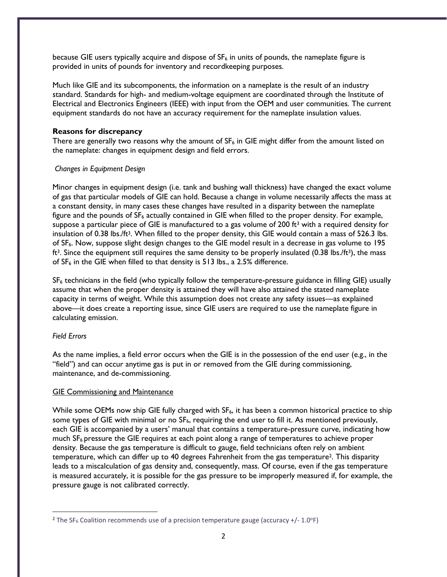because GIE users typically acquire and dispose of  $SF<sub>6</sub>$  in units of pounds, the nameplate figure is provided in units of pounds for inventory and recordkeeping purposes.

Much like GIE and its subcomponents, the information on a nameplate is the result of an industry standard. Standards for high- and medium-voltage equipment are coordinated through the Institute of Electrical and Electronics Engineers (IEEE) with input from the OEM and user communities. The current equipment standards do not have an accuracy requirement for the nameplate insulation values.

# **Reasons for discrepancy**

There are generally two reasons why the amount of  $SF<sub>6</sub>$  in GIE might differ from the amount listed on the nameplate: changes in equipment design and field errors.

#### *Changes in Equipment Design*

Minor changes in equipment design (i.e. tank and bushing wall thickness) have changed the exact volume of gas that particular models of GIE can hold. Because a change in volume necessarily affects the mass at a constant density, in many cases these changes have resulted in a disparity between the nameplate figure and the pounds of SF<sub>6</sub> actually contained in GIE when filled to the proper density. For example, suppose a particular piece of GIE is manufactured to a gas volume of 200 ft<sup>3</sup> with a required density for insulation of 0.38 lbs./ft<sup>3</sup>. When filled to the proper density, this GIE would contain a mass of 526.3 lbs. of SF6. Now, suppose slight design changes to the GIE model result in a decrease in gas volume to 195 ft<sup>3</sup>. Since the equipment still requires the same density to be properly insulated (0.38 lbs./ft<sup>3</sup>), the mass of  $SF<sub>6</sub>$  in the GIE when filled to that density is 513 lbs., a 2.5% difference.

SF<sup>6</sup> technicians in the field (who typically follow the temperature-pressure guidance in filling GIE) usually assume that when the proper density is attained they will have also attained the stated nameplate capacity in terms of weight. While this assumption does not create any safety issues—as explained above—it does create a reporting issue, since GIE users are required to use the nameplate figure in calculating emission.

# *Field Errors*

As the name implies, a field error occurs when the GIE is in the possession of the end user (e.g., in the "field") and can occur anytime gas is put in or removed from the GIE during commissioning, maintenance, and de-commissioning.

#### GIE Commissioning and Maintenance

While some OEMs now ship GIE fully charged with SF<sub>6</sub>, it has been a common historical practice to ship some types of GIE with minimal or no  $SF<sub>6</sub>$ , requiring the end user to fill it. As mentioned previously, each GIE is accompanied by a users' manual that contains a temperature-pressure curve, indicating how much SF<sub>6</sub> pressure the GIE requires at each point along a range of temperatures to achieve proper density. Because the gas temperature is difficult to gauge, field technicians often rely on ambient temperature, which can differ up to 40 degrees Fahrenheit from the gas temperature<sup>2</sup>. This disparity leads to a miscalculation of gas density and, consequently, mass. Of course, even if the gas temperature is measured accurately, it is possible for the gas pressure to be improperly measured if, for example, the pressure gauge is not calibrated correctly.

<sup>&</sup>lt;sup>2</sup> The SF<sub>6</sub> Coalition recommends use of a precision temperature gauge (accuracy +/- 1.0°F)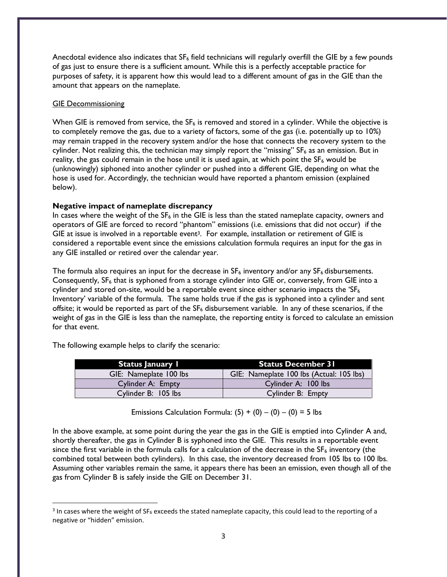Anecdotal evidence also indicates that  $SF<sub>6</sub>$  field technicians will regularly overfill the GIE by a few pounds of gas just to ensure there is a sufficient amount. While this is a perfectly acceptable practice for purposes of safety, it is apparent how this would lead to a different amount of gas in the GIE than the amount that appears on the nameplate.

# **GIE Decommissioning**

When GIE is removed from service, the  $SF_6$  is removed and stored in a cylinder. While the objective is to completely remove the gas, due to a variety of factors, some of the gas (i.e. potentially up to 10%) may remain trapped in the recovery system and/or the hose that connects the recovery system to the cylinder. Not realizing this, the technician may simply report the "missing" SF<sub>6</sub> as an emission. But in reality, the gas could remain in the hose until it is used again, at which point the  $SF_6$  would be (unknowingly) siphoned into another cylinder or pushed into a different GIE, depending on what the hose is used for. Accordingly, the technician would have reported a phantom emission (explained below).

# **Negative impact of nameplate discrepancy**

In cases where the weight of the SF<sub>6</sub> in the GIE is less than the stated nameplate capacity, owners and operators of GIE are forced to record "phantom" emissions (i.e. emissions that did not occur) if the GIE at issue is involved in a reportable event<sup>3</sup>. For example, installation or retirement of GIE is considered a reportable event since the emissions calculation formula requires an input for the gas in any GIE installed or retired over the calendar year.

The formula also requires an input for the decrease in  $SF_6$  inventory and/or any  $SF_6$  disbursements. Consequently, SF<sub>6</sub> that is syphoned from a storage cylinder into GIE or, conversely, from GIE into a cylinder and stored on-site, would be a reportable event since either scenario impacts the ' $SF_6$ Inventory' variable of the formula. The same holds true if the gas is syphoned into a cylinder and sent offsite; it would be reported as part of the  $SF_6$  disbursement variable. In any of these scenarios, if the weight of gas in the GIE is less than the nameplate, the reporting entity is forced to calculate an emission for that event.

The following example helps to clarify the scenario:

| <b>Status January I</b> | <b>Status December 31</b>                |
|-------------------------|------------------------------------------|
| GIE: Nameplate 100 lbs  | GIE: Nameplate 100 lbs (Actual: 105 lbs) |
| Cylinder A: Empty       | Cylinder A: 100 lbs                      |
| Cylinder B: 105 lbs     | Cylinder B: Empty                        |

Emissions Calculation Formula:  $(5) + (0) - (0) - (0) = 5$  lbs

In the above example, at some point during the year the gas in the GIE is emptied into Cylinder A and, shortly thereafter, the gas in Cylinder B is syphoned into the GIE. This results in a reportable event since the first variable in the formula calls for a calculation of the decrease in the  $SF<sub>6</sub>$  inventory (the combined total between both cylinders). In this case, the inventory decreased from 105 lbs to 100 lbs. Assuming other variables remain the same, it appears there has been an emission, even though all of the gas from Cylinder B is safely inside the GIE on December 31.

<sup>&</sup>lt;sup>3</sup> In cases where the weight of SF<sub>6</sub> exceeds the stated nameplate capacity, this could lead to the reporting of a negative or "hidden" emission.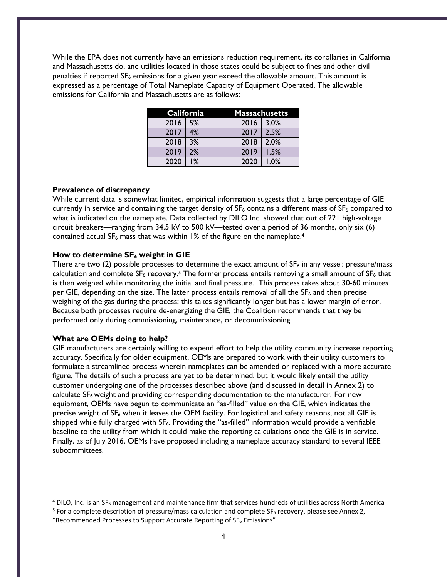While the EPA does not currently have an emissions reduction requirement, its corollaries in California and Massachusetts do, and utilities located in those states could be subject to fines and other civil penalties if reported  $SF<sub>6</sub>$  emissions for a given year exceed the allowable amount. This amount is expressed as a percentage of Total Nameplate Capacity of Equipment Operated. The allowable emissions for California and Massachusetts are as follows:

| California |       | <b>Massachusetts</b> |      |
|------------|-------|----------------------|------|
| 2016       | 5%    | 2016                 | 3.0% |
| 2017       | 4%    | 2017                 | 2.5% |
| 2018       | 3%    | 2018                 | 2.0% |
| 2019       | 2%    | 2019                 | 1.5% |
| 2020       | $1\%$ | 2020                 | 1.0% |

#### **Prevalence of discrepancy**

While current data is somewhat limited, empirical information suggests that a large percentage of GIE currently in service and containing the target density of  $SF_6$  contains a different mass of  $SF_6$  compared to what is indicated on the nameplate. Data collected by DILO Inc. showed that out of 221 high-voltage circuit breakers—ranging from 34.5 kV to 500 kV—tested over a period of 36 months, only six (6) contained actual  $SF_6$  mass that was within 1% of the figure on the nameplate.<sup>4</sup>

#### **How to determine SF<sup>6</sup> weight in GIE**

There are two (2) possible processes to determine the exact amount of  $SF<sub>6</sub>$  in any vessel: pressure/mass calculation and complete SF<sub>6</sub> recovery.<sup>5</sup> The former process entails removing a small amount of SF<sub>6</sub> that is then weighed while monitoring the initial and final pressure. This process takes about 30-60 minutes per GIE, depending on the size. The latter process entails removal of all the  $SF<sub>6</sub>$  and then precise weighing of the gas during the process; this takes significantly longer but has a lower margin of error. Because both processes require de-energizing the GIE, the Coalition recommends that they be performed only during commissioning, maintenance, or decommissioning.

#### **What are OEMs doing to help?**

GIE manufacturers are certainly willing to expend effort to help the utility community increase reporting accuracy. Specifically for older equipment, OEMs are prepared to work with their utility customers to formulate a streamlined process wherein nameplates can be amended or replaced with a more accurate figure. The details of such a process are yet to be determined, but it would likely entail the utility customer undergoing one of the processes described above (and discussed in detail in Annex 2) to calculate  $SF<sub>6</sub>$  weight and providing corresponding documentation to the manufacturer. For new equipment, OEMs have begun to communicate an "as-filled" value on the GIE, which indicates the precise weight of SF<sub>6</sub> when it leaves the OEM facility. For logistical and safety reasons, not all GIE is shipped while fully charged with SF<sub>6</sub>. Providing the "as-filled" information would provide a verifiable baseline to the utility from which it could make the reporting calculations once the GIE is in service. Finally, as of July 2016, OEMs have proposed including a nameplate accuracy standard to several IEEE subcommittees.

 $4$  DILO, Inc. is an SF<sub>6</sub> management and maintenance firm that services hundreds of utilities across North America

 $5$  For a complete description of pressure/mass calculation and complete SF<sub>6</sub> recovery, please see Annex 2,

<sup>&</sup>quot;Recommended Processes to Support Accurate Reporting of SF6 Emissions"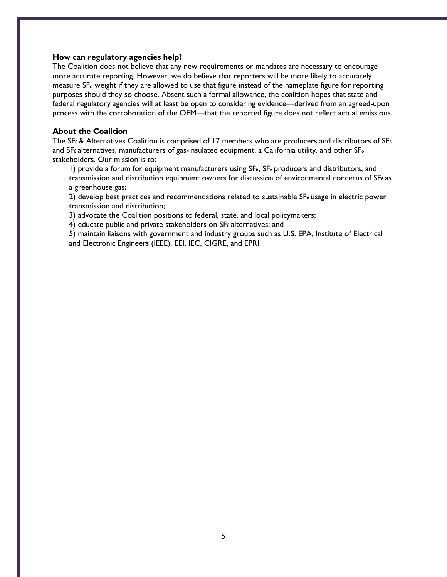#### **How can regulatory agencies help?**

The Coalition does not believe that any new requirements or mandates are necessary to encourage more accurate reporting. However, we do believe that reporters will be more likely to accurately measure  $SF<sub>6</sub>$  weight if they are allowed to use that figure instead of the nameplate figure for reporting purposes should they so choose. Absent such a formal allowance, the coalition hopes that state and federal regulatory agencies will at least be open to considering evidence—derived from an agreed-upon process with the corroboration of the OEM—that the reported figure does not reflect actual emissions.

# **About the Coalition**

The SF6 & Alternatives Coalition is comprised of 17 members who are producers and distributors of SF<sup>6</sup> and SF<sub>6</sub> alternatives, manufacturers of gas-insulated equipment, a California utility, and other SF<sub>6</sub> stakeholders. Our mission is to:

1) provide a forum for equipment manufacturers using SF6, SF6 producers and distributors, and transmission and distribution equipment owners for discussion of environmental concerns of SF6 as a greenhouse gas;

2) develop best practices and recommendations related to sustainable SF<sub>6</sub> usage in electric power transmission and distribution;

3) advocate the Coalition positions to federal, state, and local policymakers;

4) educate public and private stakeholders on SF6 alternatives; and

5) maintain liaisons with government and industry groups such as U.S. EPA, Institute of Electrical and Electronic Engineers (IEEE), EEI, IEC, CIGRE, and EPRI.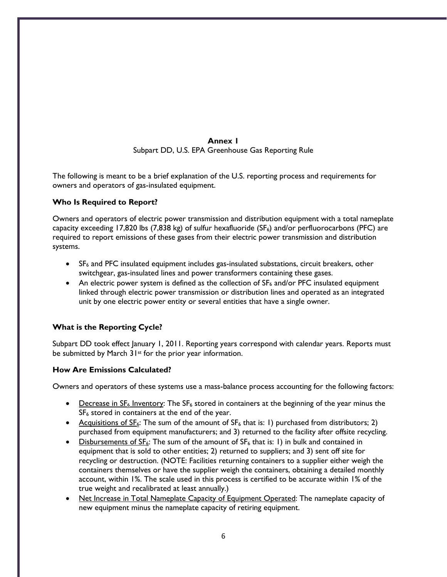# **Annex 1** Subpart DD, U.S. EPA Greenhouse Gas Reporting Rule

The following is meant to be a brief explanation of the U.S. reporting process and requirements for owners and operators of gas-insulated equipment.

# **Who Is Required to Report?**

Owners and operators of electric power transmission and distribution equipment with a total nameplate capacity exceeding 17,820 lbs (7,838 kg) of sulfur hexafluoride ( $SF<sub>6</sub>$ ) and/or perfluorocarbons (PFC) are required to report emissions of these gases from their electric power transmission and distribution systems.

- SF<sub>6</sub> and PFC insulated equipment includes gas-insulated substations, circuit breakers, other switchgear, gas-insulated lines and power transformers containing these gases.
- An electric power system is defined as the collection of  $SF_6$  and/or PFC insulated equipment linked through electric power transmission or distribution lines and operated as an integrated unit by one electric power entity or several entities that have a single owner.

# **What is the Reporting Cycle?**

Subpart DD took effect January 1, 2011. Reporting years correspond with calendar years. Reports must be submitted by March 31<sup>st</sup> for the prior year information.

# **How Are Emissions Calculated?**

Owners and operators of these systems use a mass-balance process accounting for the following factors:

- Decrease in  $SF_6$  Inventory: The  $SF_6$  stored in containers at the beginning of the year minus the SF<sub>6</sub> stored in containers at the end of the year.
- Acquisitions of  $SF_6$ : The sum of the amount of  $SF_6$  that is: 1) purchased from distributors; 2) purchased from equipment manufacturers; and 3) returned to the facility after offsite recycling.
- Disbursements of  $SE_6$ : The sum of the amount of  $SE_6$  that is: 1) in bulk and contained in equipment that is sold to other entities; 2) returned to suppliers; and 3) sent off site for recycling or destruction. (NOTE: Facilities returning containers to a supplier either weigh the containers themselves or have the supplier weigh the containers, obtaining a detailed monthly account, within 1%. The scale used in this process is certified to be accurate within 1% of the true weight and recalibrated at least annually.)
- Net Increase in Total Nameplate Capacity of Equipment Operated: The nameplate capacity of new equipment minus the nameplate capacity of retiring equipment.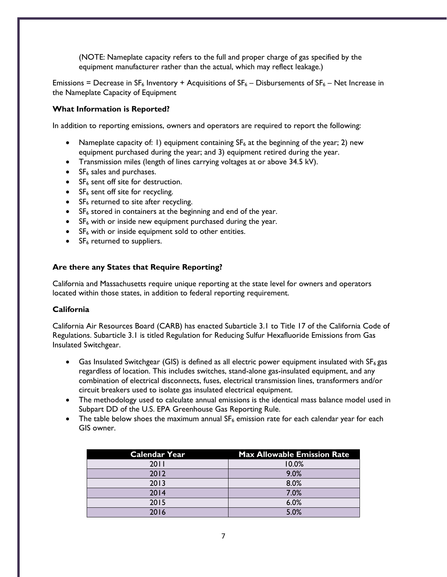(NOTE: Nameplate capacity refers to the full and proper charge of gas specified by the equipment manufacturer rather than the actual, which may reflect leakage.)

Emissions = Decrease in SF<sub>6</sub> Inventory + Acquisitions of  $SF_6$  – Disbursements of  $SF_6$  – Net Increase in the Nameplate Capacity of Equipment

# **What Information is Reported?**

In addition to reporting emissions, owners and operators are required to report the following:

- Nameplate capacity of: 1) equipment containing  $SF<sub>6</sub>$  at the beginning of the year; 2) new equipment purchased during the year; and 3) equipment retired during the year.
- Transmission miles (length of lines carrying voltages at or above 34.5 kV).
- SF<sub>6</sub> sales and purchases.
- $SF<sub>6</sub>$  sent off site for destruction.
- $SF<sub>6</sub>$  sent off site for recycling.
- $SF<sub>6</sub>$  returned to site after recycling.
- $SF<sub>6</sub>$  stored in containers at the beginning and end of the year.
- $SF<sub>6</sub>$  with or inside new equipment purchased during the year.
- $SF<sub>6</sub>$  with or inside equipment sold to other entities.
- $\bullet$  SF<sub>6</sub> returned to suppliers.

# **Are there any States that Require Reporting?**

California and Massachusetts require unique reporting at the state level for owners and operators located within those states, in addition to federal reporting requirement.

# **California**

California Air Resources Board (CARB) has enacted Subarticle 3.1 to Title 17 of the California Code of Regulations. Subarticle 3.1 is titled Regulation for Reducing Sulfur Hexafluoride Emissions from Gas Insulated Switchgear.

- Gas Insulated Switchgear (GIS) is defined as all electric power equipment insulated with  $SF<sub>6</sub>$ gas regardless of location. This includes switches, stand-alone gas-insulated equipment, and any combination of electrical disconnects, fuses, electrical transmission lines, transformers and/or circuit breakers used to isolate gas insulated electrical equipment.
- The methodology used to calculate annual emissions is the identical mass balance model used in Subpart DD of the U.S. EPA Greenhouse Gas Reporting Rule.
- The table below shoes the maximum annual  $SF_6$  emission rate for each calendar year for each GIS owner.

| <b>Calendar Year</b> | <b>Max Allowable Emission Rate</b> |
|----------------------|------------------------------------|
| 2011                 | 10.0%                              |
| 2012                 | 9.0%                               |
| 2013                 | 8.0%                               |
| 2014                 | 7.0%                               |
| 2015                 | 6.0%                               |
| 2016                 | 5.0%                               |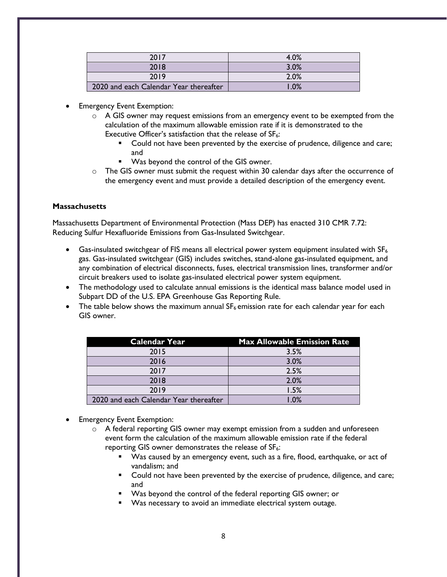| 2017                                   | 4.0% |
|----------------------------------------|------|
| 2018                                   | 3.0% |
| 2019                                   | 2.0% |
| 2020 and each Calendar Year thereafter | .0%  |

- **Emergency Event Exemption:** 
	- o A GIS owner may request emissions from an emergency event to be exempted from the calculation of the maximum allowable emission rate if it is demonstrated to the Executive Officer's satisfaction that the release of  $SF_6$ :
		- **•** Could not have been prevented by the exercise of prudence, diligence and care; and
		- Was beyond the control of the GIS owner.
	- $\circ$  The GIS owner must submit the request within 30 calendar days after the occurrence of the emergency event and must provide a detailed description of the emergency event.

# **Massachusetts**

Massachusetts Department of Environmental Protection (Mass DEP) has enacted 310 CMR 7.72: Reducing Sulfur Hexafluoride Emissions from Gas-Insulated Switchgear.

- Gas-insulated switchgear of FIS means all electrical power system equipment insulated with SF<sub>6</sub> gas. Gas-insulated switchgear (GIS) includes switches, stand-alone gas-insulated equipment, and any combination of electrical disconnects, fuses, electrical transmission lines, transformer and/or circuit breakers used to isolate gas-insulated electrical power system equipment.
- The methodology used to calculate annual emissions is the identical mass balance model used in Subpart DD of the U.S. EPA Greenhouse Gas Reporting Rule.
- The table below shows the maximum annual  $SF_6$  emission rate for each calendar year for each GIS owner.

| <b>Calendar Year</b>                   | <b>Max Allowable Emission Rate</b> |
|----------------------------------------|------------------------------------|
| 2015                                   | 3.5%                               |
| 2016                                   | 3.0%                               |
| 2017                                   | 2.5%                               |
| 2018                                   | 2.0%                               |
| 2019                                   | 1.5%                               |
| 2020 and each Calendar Year thereafter | .0%                                |

- Emergency Event Exemption:
	- $\circ$  A federal reporting GIS owner may exempt emission from a sudden and unforeseen event form the calculation of the maximum allowable emission rate if the federal reporting GIS owner demonstrates the release of  $SF<sub>6</sub>$ :
		- Was caused by an emergency event, such as a fire, flood, earthquake, or act of vandalism; and
		- Could not have been prevented by the exercise of prudence, diligence, and care; and
		- Was beyond the control of the federal reporting GIS owner; or
		- Was necessary to avoid an immediate electrical system outage.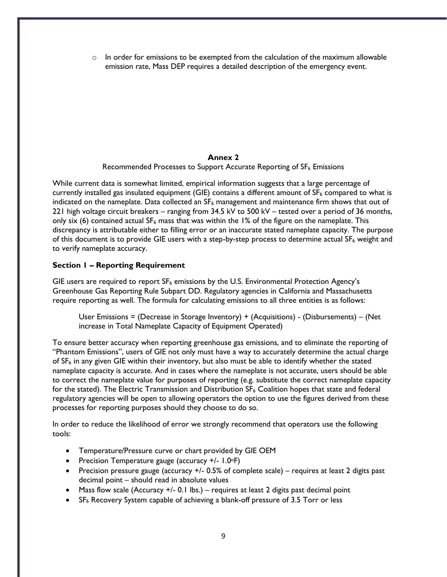$\circ$  In order for emissions to be exempted from the calculation of the maximum allowable emission rate, Mass DEP requires a detailed description of the emergency event.

#### **Annex 2**

Recommended Processes to Support Accurate Reporting of SF<sub>6</sub> Emissions

While current data is somewhat limited, empirical information suggests that a large percentage of currently installed gas insulated equipment (GIE) contains a different amount of  $SF<sub>6</sub>$  compared to what is indicated on the nameplate. Data collected an  $SF_6$  management and maintenance firm shows that out of 221 high voltage circuit breakers – ranging from 34.5 kV to 500 kV – tested over a period of 36 months, only six (6) contained actual  $SF_6$  mass that was within the 1% of the figure on the nameplate. This discrepancy is attributable either to filling error or an inaccurate stated nameplate capacity. The purpose of this document is to provide GIE users with a step-by-step process to determine actual  $SF_6$  weight and to verify nameplate accuracy.

# **Section 1 – Reporting Requirement**

GIE users are required to report  $SF_6$  emissions by the U.S. Environmental Protection Agency's Greenhouse Gas Reporting Rule Subpart DD. Regulatory agencies in California and Massachusetts require reporting as well. The formula for calculating emissions to all three entities is as follows:

User Emissions = (Decrease in Storage Inventory) + (Acquisitions) - (Disbursements) – (Net increase in Total Nameplate Capacity of Equipment Operated)

To ensure better accuracy when reporting greenhouse gas emissions, and to eliminate the reporting of "Phantom Emissions", users of GIE not only must have a way to accurately determine the actual charge of  $SF<sub>6</sub>$  in any given GIE within their inventory, but also must be able to identify whether the stated nameplate capacity is accurate. And in cases where the nameplate is not accurate, users should be able to correct the nameplate value for purposes of reporting (e.g. substitute the correct nameplate capacity for the stated). The Electric Transmission and Distribution SF<sub>6</sub> Coalition hopes that state and federal regulatory agencies will be open to allowing operators the option to use the figures derived from these processes for reporting purposes should they choose to do so.

In order to reduce the likelihood of error we strongly recommend that operators use the following tools:

- Temperature/Pressure curve or chart provided by GIE OEM
- Precision Temperature gauge (accuracy +/- 1.0°F)
- Precision pressure gauge (accuracy +/- 0.5% of complete scale) requires at least 2 digits past decimal point – should read in absolute values
- Mass flow scale (Accuracy +/- 0.1 lbs.) requires at least 2 digits past decimal point
- SF<sub>6</sub> Recovery System capable of achieving a blank-off pressure of 3.5 Torr or less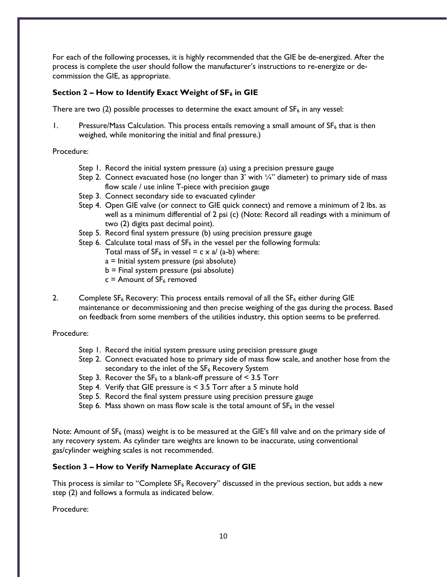For each of the following processes, it is highly recommended that the GIE be de-energized. After the process is complete the user should follow the manufacturer's instructions to re-energize or decommission the GIE, as appropriate.

# **Section 2 – How to Identify Exact Weight of SF<sup>6</sup> in GIE**

There are two (2) possible processes to determine the exact amount of  $SF_6$  in any vessel:

1. Pressure/Mass Calculation. This process entails removing a small amount of  $SF_6$  that is then weighed, while monitoring the initial and final pressure.)

#### Procedure:

- Step 1. Record the initial system pressure (a) using a precision pressure gauge
- Step 2. Connect evacuated hose (no longer than  $3'$  with  $\frac{1}{4}$ " diameter) to primary side of mass flow scale / use inline T-piece with precision gauge
- Step 3. Connect secondary side to evacuated cylinder
- Step 4. Open GIE valve (or connect to GIE quick connect) and remove a minimum of 2 lbs. as well as a minimum differential of 2 psi (c) (Note: Record all readings with a minimum of two (2) digits past decimal point).
- Step 5. Record final system pressure (b) using precision pressure gauge
- Step 6. Calculate total mass of  $SF_6$  in the vessel per the following formula:
	- Total mass of  $SF_6$  in vessel = c x a/ (a-b) where:
	- a = Initial system pressure (psi absolute)
	- b = Final system pressure (psi absolute)
	- $c =$  Amount of SF<sub>6</sub> removed
- 2. Complete  $SF_6$  Recovery: This process entails removal of all the  $SF_6$  either during GIE maintenance or decommissioning and then precise weighing of the gas during the process. Based on feedback from some members of the utilities industry, this option seems to be preferred.

# Procedure:

- Step 1. Record the initial system pressure using precision pressure gauge
- Step 2. Connect evacuated hose to primary side of mass flow scale, and another hose from the secondary to the inlet of the SF<sub>6</sub> Recovery System
- Step 3. Recover the  $SF_6$  to a blank-off pressure of < 3.5 Torr
- Step 4. Verify that GIE pressure is < 3.5 Torr after a 5 minute hold
- Step 5. Record the final system pressure using precision pressure gauge
- Step 6. Mass shown on mass flow scale is the total amount of  $SF<sub>6</sub>$  in the vessel

Note: Amount of SF<sub>6</sub> (mass) weight is to be measured at the GIE's fill valve and on the primary side of any recovery system. As cylinder tare weights are known to be inaccurate, using conventional gas/cylinder weighing scales is not recommended.

# **Section 3 – How to Verify Nameplate Accuracy of GIE**

This process is similar to "Complete  $SF_6$  Recovery" discussed in the previous section, but adds a new step (2) and follows a formula as indicated below.

Procedure: